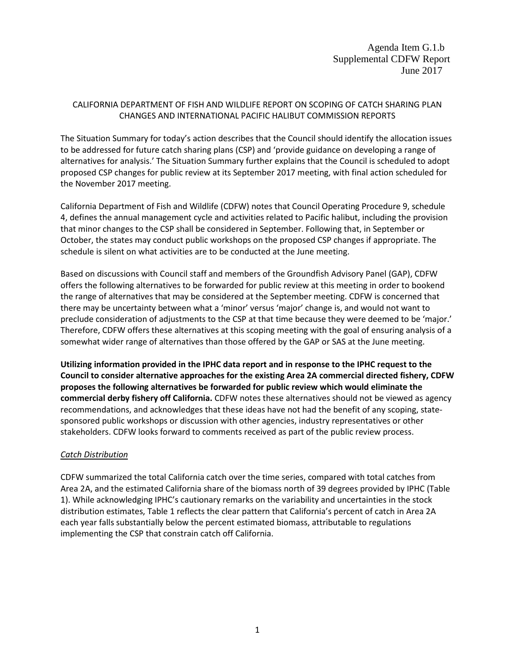## CALIFORNIA DEPARTMENT OF FISH AND WILDLIFE REPORT ON SCOPING OF CATCH SHARING PLAN CHANGES AND INTERNATIONAL PACIFIC HALIBUT COMMISSION REPORTS

The Situation Summary for today's action describes that the Council should identify the allocation issues to be addressed for future catch sharing plans (CSP) and 'provide guidance on developing a range of alternatives for analysis.' The Situation Summary further explains that the Council is scheduled to adopt proposed CSP changes for public review at its September 2017 meeting, with final action scheduled for the November 2017 meeting.

California Department of Fish and Wildlife (CDFW) notes that Council Operating Procedure 9, schedule 4, defines the annual management cycle and activities related to Pacific halibut, including the provision that minor changes to the CSP shall be considered in September. Following that, in September or October, the states may conduct public workshops on the proposed CSP changes if appropriate. The schedule is silent on what activities are to be conducted at the June meeting.

Based on discussions with Council staff and members of the Groundfish Advisory Panel (GAP), CDFW offers the following alternatives to be forwarded for public review at this meeting in order to bookend the range of alternatives that may be considered at the September meeting. CDFW is concerned that there may be uncertainty between what a 'minor' versus 'major' change is, and would not want to preclude consideration of adjustments to the CSP at that time because they were deemed to be 'major.' Therefore, CDFW offers these alternatives at this scoping meeting with the goal of ensuring analysis of a somewhat wider range of alternatives than those offered by the GAP or SAS at the June meeting.

**Utilizing information provided in the IPHC data report and in response to the IPHC request to the Council to consider alternative approaches for the existing Area 2A commercial directed fishery, CDFW proposes the following alternatives be forwarded for public review which would eliminate the commercial derby fishery off California.** CDFW notes these alternatives should not be viewed as agency recommendations, and acknowledges that these ideas have not had the benefit of any scoping, statesponsored public workshops or discussion with other agencies, industry representatives or other stakeholders. CDFW looks forward to comments received as part of the public review process.

## *Catch Distribution*

CDFW summarized the total California catch over the time series, compared with total catches from Area 2A, and the estimated California share of the biomass north of 39 degrees provided by IPHC (Table 1). While acknowledging IPHC's cautionary remarks on the variability and uncertainties in the stock distribution estimates, Table 1 reflects the clear pattern that California's percent of catch in Area 2A each year falls substantially below the percent estimated biomass, attributable to regulations implementing the CSP that constrain catch off California.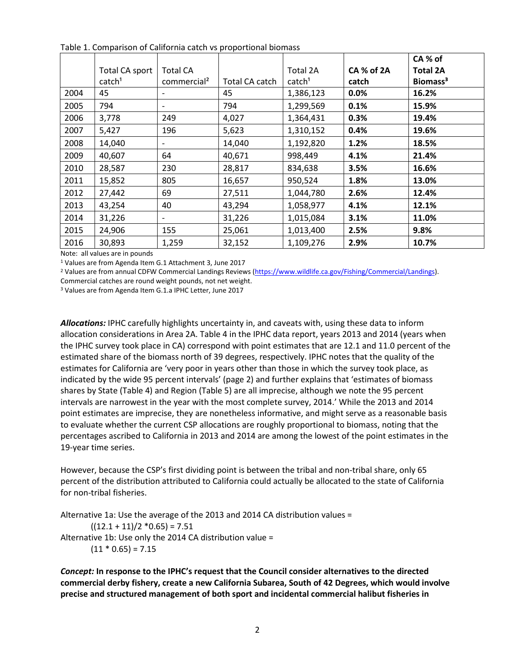|      |                    |                          |                |                    |            | CA % of              |
|------|--------------------|--------------------------|----------------|--------------------|------------|----------------------|
|      | Total CA sport     | <b>Total CA</b>          |                | Total 2A           | CA % of 2A | <b>Total 2A</b>      |
|      | catch <sup>1</sup> | commercial <sup>2</sup>  | Total CA catch | catch <sup>1</sup> | catch      | Biomass <sup>3</sup> |
| 2004 | 45                 | $\overline{\phantom{a}}$ | 45             | 1,386,123          | $0.0\%$    | 16.2%                |
| 2005 | 794                | $\overline{\phantom{a}}$ | 794            | 1,299,569          | 0.1%       | 15.9%                |
| 2006 | 3,778              | 249                      | 4,027          | 1,364,431          | 0.3%       | 19.4%                |
| 2007 | 5,427              | 196                      | 5,623          | 1,310,152          | 0.4%       | 19.6%                |
| 2008 | 14,040             | $\overline{\phantom{a}}$ | 14,040         | 1,192,820          | 1.2%       | 18.5%                |
| 2009 | 40,607             | 64                       | 40,671         | 998,449            | 4.1%       | 21.4%                |
| 2010 | 28,587             | 230                      | 28,817         | 834,638            | 3.5%       | 16.6%                |
| 2011 | 15,852             | 805                      | 16,657         | 950,524            | 1.8%       | 13.0%                |
| 2012 | 27,442             | 69                       | 27,511         | 1,044,780          | 2.6%       | 12.4%                |
| 2013 | 43,254             | 40                       | 43,294         | 1,058,977          | 4.1%       | 12.1%                |
| 2014 | 31,226             | $\overline{\phantom{a}}$ | 31,226         | 1,015,084          | 3.1%       | 11.0%                |
| 2015 | 24,906             | 155                      | 25,061         | 1,013,400          | 2.5%       | 9.8%                 |
| 2016 | 30,893             | 1,259                    | 32,152         | 1,109,276          | 2.9%       | 10.7%                |

Table 1. Comparison of California catch vs proportional biomass

Note: all values are in pounds

<sup>1</sup> Values are from Agenda Item G.1 Attachment 3, June 2017<br><sup>2</sup> Values are from annual CDFW Commercial Landings Reviews [\(https://www.wildlife.ca.gov/Fishing/Commercial/Landings\).](https://www.wildlife.ca.gov/Fishing/Commercial/Landings)

Commercial catches are round weight pounds, not net weight.

<sup>3</sup> Values are from Agenda Item G.1.a IPHC Letter, June 2017

*Allocations:* IPHC carefully highlights uncertainty in, and caveats with, using these data to inform allocation considerations in Area 2A. Table 4 in the IPHC data report, years 2013 and 2014 (years when the IPHC survey took place in CA) correspond with point estimates that are 12.1 and 11.0 percent of the estimated share of the biomass north of 39 degrees, respectively. IPHC notes that the quality of the estimates for California are 'very poor in years other than those in which the survey took place, as indicated by the wide 95 percent intervals' (page 2) and further explains that 'estimates of biomass shares by State (Table 4) and Region (Table 5) are all imprecise, although we note the 95 percent intervals are narrowest in the year with the most complete survey, 2014.' While the 2013 and 2014 point estimates are imprecise, they are nonetheless informative, and might serve as a reasonable basis to evaluate whether the current CSP allocations are roughly proportional to biomass, noting that the percentages ascribed to California in 2013 and 2014 are among the lowest of the point estimates in the 19-year time series.

However, because the CSP's first dividing point is between the tribal and non-tribal share, only 65 percent of the distribution attributed to California could actually be allocated to the state of California for non-tribal fisheries.

Alternative 1a: Use the average of the 2013 and 2014 CA distribution values =  $((12.1 + 11)/2 * 0.65) = 7.51$ Alternative 1b: Use only the 2014 CA distribution value =  $(11 * 0.65) = 7.15$ 

*Concept:* **In response to the IPHC's request that the Council consider alternatives to the directed commercial derby fishery, create a new California Subarea, South of 42 Degrees, which would involve precise and structured management of both sport and incidental commercial halibut fisheries in**